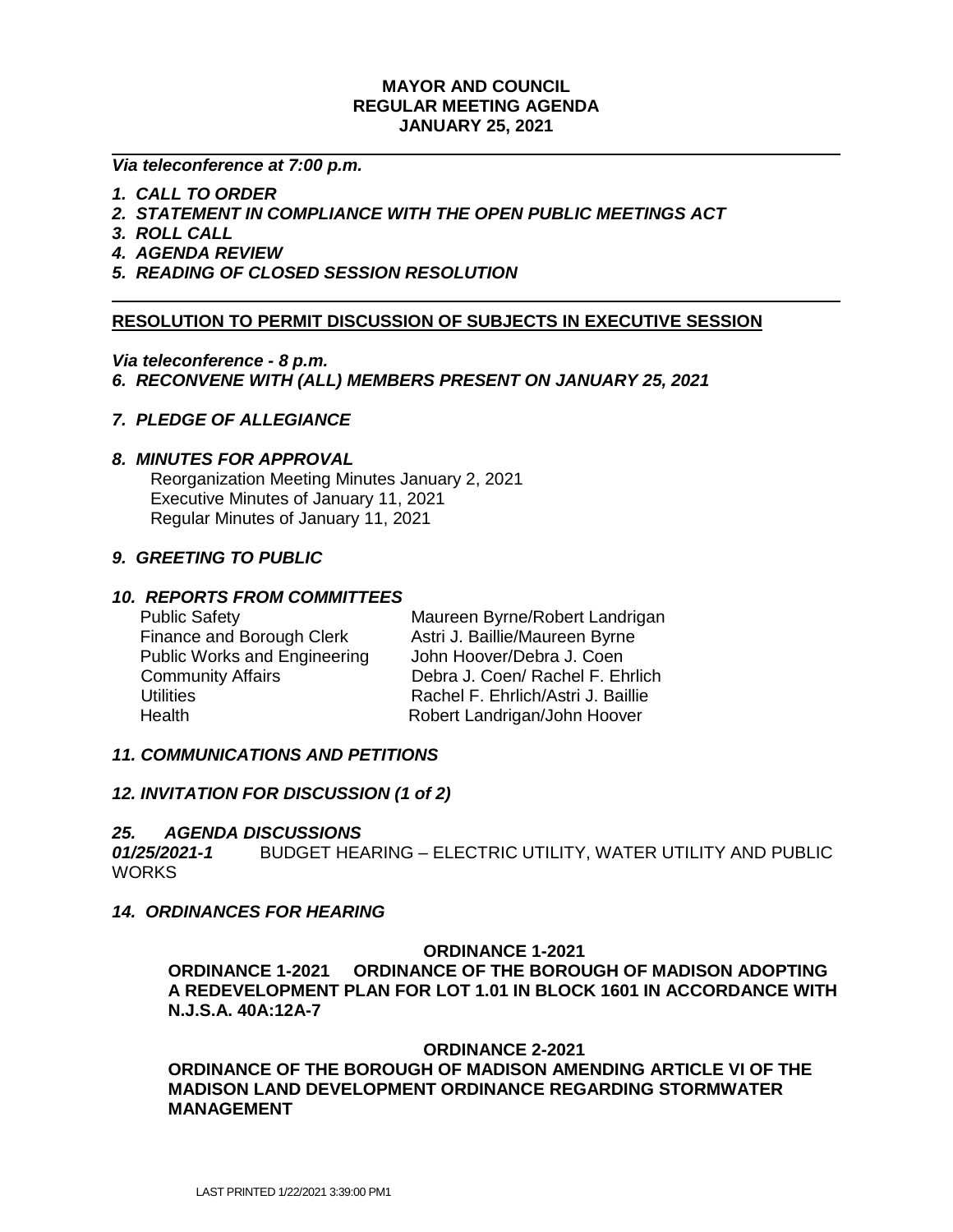### **MAYOR AND COUNCIL REGULAR MEETING AGENDA JANUARY 25, 2021**

#### *Via teleconference at 7:00 p.m.*

- *1. CALL TO ORDER*
- *2. STATEMENT IN COMPLIANCE WITH THE OPEN PUBLIC MEETINGS ACT*
- *3. ROLL CALL*
- *4. AGENDA REVIEW*
- *5. READING OF CLOSED SESSION RESOLUTION*

### **RESOLUTION TO PERMIT DISCUSSION OF SUBJECTS IN EXECUTIVE SESSION**

#### *Via teleconference - 8 p.m.*

*6. RECONVENE WITH (ALL) MEMBERS PRESENT ON JANUARY 25, 2021*

## *7. PLEDGE OF ALLEGIANCE*

### *8. MINUTES FOR APPROVAL*

 Reorganization Meeting Minutes January 2, 2021 Executive Minutes of January 11, 2021 Regular Minutes of January 11, 2021

### *9. GREETING TO PUBLIC*

### *10. REPORTS FROM COMMITTEES*

| <b>Public Safety</b>                | Maureen Byrne/Robert Landrigan     |
|-------------------------------------|------------------------------------|
| Finance and Borough Clerk           | Astri J. Baillie/Maureen Byrne     |
| <b>Public Works and Engineering</b> | John Hoover/Debra J. Coen          |
| <b>Community Affairs</b>            | Debra J. Coen/ Rachel F. Ehrlich   |
| <b>Utilities</b>                    | Rachel F. Ehrlich/Astri J. Baillie |
| Health                              | Robert Landrigan/John Hoover       |

### *11. COMMUNICATIONS AND PETITIONS*

### *12. INVITATION FOR DISCUSSION (1 of 2)*

#### *25. AGENDA DISCUSSIONS*

*01/25/2021-1* BUDGET HEARING – ELECTRIC UTILITY, WATER UTILITY AND PUBLIC **WORKS** 

### *14. ORDINANCES FOR HEARING*

#### **ORDINANCE 1-2021**

**ORDINANCE 1-2021 ORDINANCE OF THE BOROUGH OF MADISON ADOPTING A REDEVELOPMENT PLAN FOR LOT 1.01 IN BLOCK 1601 IN ACCORDANCE WITH N.J.S.A. 40A:12A-7**

#### **ORDINANCE 2-2021**

**ORDINANCE OF THE BOROUGH OF MADISON AMENDING ARTICLE VI OF THE MADISON LAND DEVELOPMENT ORDINANCE REGARDING STORMWATER MANAGEMENT**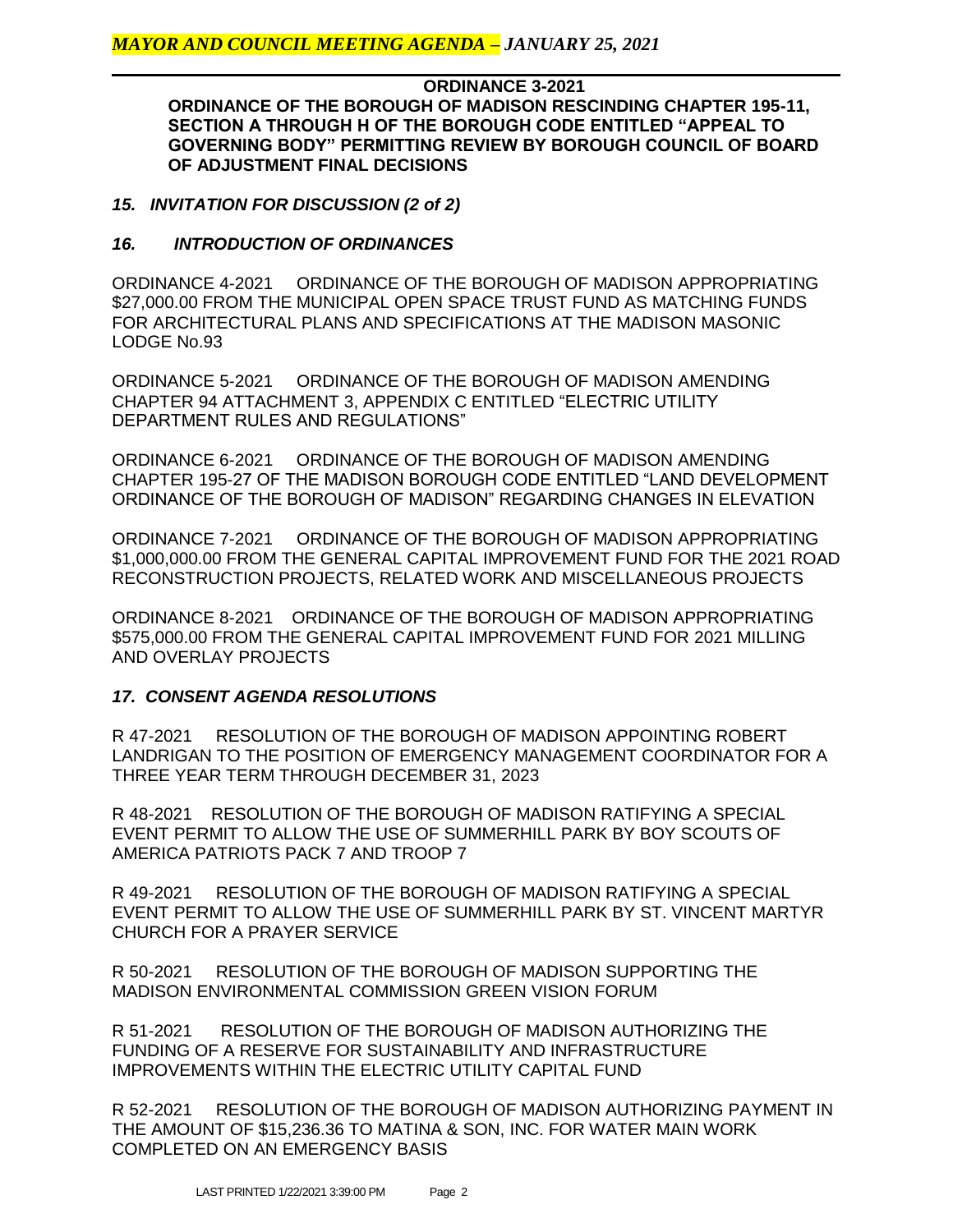**ORDINANCE 3-2021 ORDINANCE OF THE BOROUGH OF MADISON RESCINDING CHAPTER 195-11, SECTION A THROUGH H OF THE BOROUGH CODE ENTITLED "APPEAL TO GOVERNING BODY" PERMITTING REVIEW BY BOROUGH COUNCIL OF BOARD OF ADJUSTMENT FINAL DECISIONS**

# *15. INVITATION FOR DISCUSSION (2 of 2)*

# *16. INTRODUCTION OF ORDINANCES*

ORDINANCE 4-2021 ORDINANCE OF THE BOROUGH OF MADISON APPROPRIATING \$27,000.00 FROM THE MUNICIPAL OPEN SPACE TRUST FUND AS MATCHING FUNDS FOR ARCHITECTURAL PLANS AND SPECIFICATIONS AT THE MADISON MASONIC LODGE No.93

ORDINANCE 5-2021 ORDINANCE OF THE BOROUGH OF MADISON AMENDING CHAPTER 94 ATTACHMENT 3, APPENDIX C ENTITLED "ELECTRIC UTILITY DEPARTMENT RULES AND REGULATIONS"

ORDINANCE 6-2021 ORDINANCE OF THE BOROUGH OF MADISON AMENDING CHAPTER 195-27 OF THE MADISON BOROUGH CODE ENTITLED "LAND DEVELOPMENT ORDINANCE OF THE BOROUGH OF MADISON" REGARDING CHANGES IN ELEVATION

ORDINANCE 7-2021 ORDINANCE OF THE BOROUGH OF MADISON APPROPRIATING \$1,000,000.00 FROM THE GENERAL CAPITAL IMPROVEMENT FUND FOR THE 2021 ROAD RECONSTRUCTION PROJECTS, RELATED WORK AND MISCELLANEOUS PROJECTS

ORDINANCE 8-2021 ORDINANCE OF THE BOROUGH OF MADISON APPROPRIATING \$575,000.00 FROM THE GENERAL CAPITAL IMPROVEMENT FUND FOR 2021 MILLING AND OVERLAY PROJECTS

# *17. CONSENT AGENDA RESOLUTIONS*

R 47-2021 RESOLUTION OF THE BOROUGH OF MADISON APPOINTING ROBERT LANDRIGAN TO THE POSITION OF EMERGENCY MANAGEMENT COORDINATOR FOR A THREE YEAR TERM THROUGH DECEMBER 31, 2023

R 48-2021 RESOLUTION OF THE BOROUGH OF MADISON RATIFYING A SPECIAL EVENT PERMIT TO ALLOW THE USE OF SUMMERHILL PARK BY BOY SCOUTS OF AMERICA PATRIOTS PACK 7 AND TROOP 7

R 49-2021 RESOLUTION OF THE BOROUGH OF MADISON RATIFYING A SPECIAL EVENT PERMIT TO ALLOW THE USE OF SUMMERHILL PARK BY ST. VINCENT MARTYR CHURCH FOR A PRAYER SERVICE

R 50-2021 RESOLUTION OF THE BOROUGH OF MADISON SUPPORTING THE MADISON ENVIRONMENTAL COMMISSION GREEN VISION FORUM

R 51-2021 RESOLUTION OF THE BOROUGH OF MADISON AUTHORIZING THE FUNDING OF A RESERVE FOR SUSTAINABILITY AND INFRASTRUCTURE IMPROVEMENTS WITHIN THE ELECTRIC UTILITY CAPITAL FUND

R 52-2021 RESOLUTION OF THE BOROUGH OF MADISON AUTHORIZING PAYMENT IN THE AMOUNT OF \$15,236.36 TO MATINA & SON, INC. FOR WATER MAIN WORK COMPLETED ON AN EMERGENCY BASIS